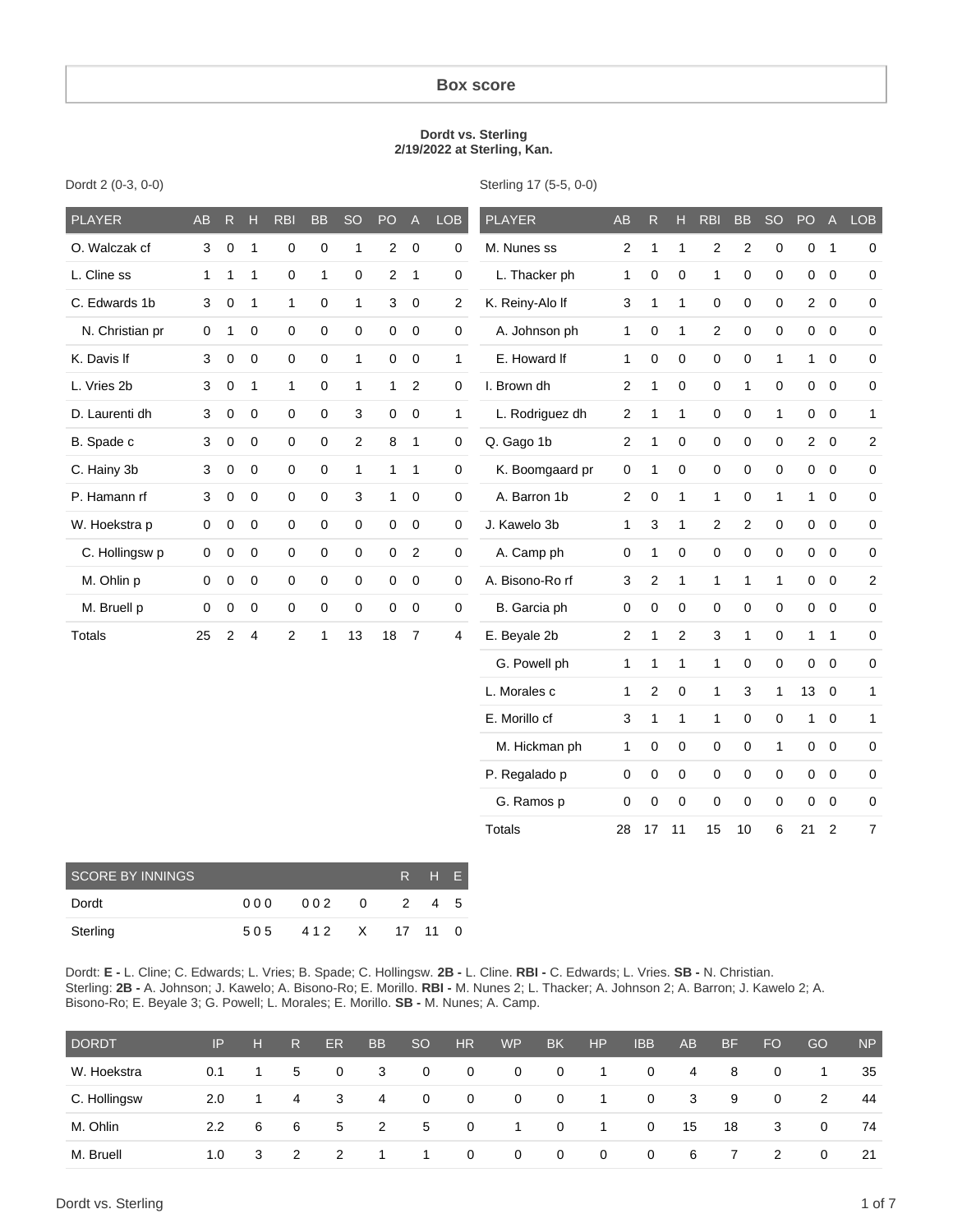#### **Box score**

#### **Dordt vs. Sterling 2/19/2022 at Sterling, Kan.**

| <b>PLAYER</b>   | AB           | ${\sf R}$      | $\overline{H}$ | <b>RBI</b>     | <b>BB</b> | <b>SO</b>      | PO                      | $\overline{A}$ | <b>LOB</b>       | <b>PLAYER</b>   | <b>AB</b>        | R.               | H              | <b>RBI</b>  | <b>BB</b>        | <b>SO</b>        | PO             | $\overline{A}$   | <b>LOB</b>       |
|-----------------|--------------|----------------|----------------|----------------|-----------|----------------|-------------------------|----------------|------------------|-----------------|------------------|------------------|----------------|-------------|------------------|------------------|----------------|------------------|------------------|
| O. Walczak cf   | 3            | $\mathbf 0$    | $\mathbf{1}$   | $\mathbf 0$    | 0         | $\mathbf{1}$   | $\overline{\mathbf{c}}$ | 0              | 0                | M. Nunes ss     | $\overline{c}$   | $\mathbf{1}$     | 1              | 2           | $\boldsymbol{2}$ | $\boldsymbol{0}$ | 0 <sub>1</sub> |                  | $\mathbf 0$      |
| L. Cline ss     | $\mathbf{1}$ | 1              | 1              | $\mathbf 0$    | 1         | $\mathbf 0$    | 2                       | $\mathbf{1}$   | 0                | L. Thacker ph   | 1                | 0                | 0              | 1           | $\mathbf 0$      | $\mathbf 0$      |                | $0\quad 0$       | 0                |
| C. Edwards 1b   | 3            | 0              | $\mathbf{1}$   | 1              | 0         | $\mathbf{1}$   | 3                       | $\mathbf 0$    | $\overline{2}$   | K. Reiny-Alo If | 3                | 1                | $\mathbf{1}$   | 0           | $\mathbf 0$      | $\mathbf 0$      |                | $2 \quad 0$      | $\pmb{0}$        |
| N. Christian pr | 0            | 1              | $\mathbf 0$    | 0              | 0         | $\mathbf 0$    | 0                       | $\mathbf 0$    | $\mathbf 0$      | A. Johnson ph   | 1                | 0                | $\mathbf{1}$   | 2           | $\mathbf 0$      | $\mathbf 0$      | $\mathbf 0$    | $\overline{0}$   | $\mathbf 0$      |
| K. Davis If     | 3            | 0              | $\mathbf 0$    | 0              | 0         | $\mathbf{1}$   | 0                       | $\mathbf 0$    | 1                | E. Howard If    | 1                | 0                | $\mathbf 0$    | 0           | $\mathbf 0$      | $\mathbf{1}$     | $\mathbf{1}$   | $\overline{0}$   | 0                |
| L. Vries 2b     | 3            | 0              | 1              | 1              | 0         | $\mathbf{1}$   | 1                       | $\overline{2}$ | 0                | I. Brown dh     | $\overline{2}$   | $\mathbf{1}$     | 0              | 0           | $\mathbf{1}$     | $\mathbf 0$      | $\mathbf 0$    | $\mathbf 0$      | 0                |
| D. Laurenti dh  | 3            | $\mathbf 0$    | 0              | 0              | 0         | 3              | 0                       | $\mathbf 0$    | 1                | L. Rodriguez dh | 2                | 1                | $\mathbf{1}$   | 0           | 0                | $\mathbf{1}$     |                | $0\quad 0$       | 1                |
| B. Spade c      | 3            | 0              | $\pmb{0}$      | 0              | 0         | $\overline{2}$ | 8                       | $\mathbf{1}$   | 0                | Q. Gago 1b      | $\overline{2}$   | 1                | 0              | 0           | $\pmb{0}$        | $\pmb{0}$        | $2^{\circ}$    | $\overline{0}$   | $\boldsymbol{2}$ |
| C. Hainy 3b     | 3            | 0              | $\mathbf 0$    | 0              | 0         | $\mathbf{1}$   | 1                       | $\mathbf{1}$   | $\boldsymbol{0}$ | K. Boomgaard pr | $\boldsymbol{0}$ | 1                | 0              | 0           | 0                | $\pmb{0}$        | $\overline{0}$ | $\overline{0}$   | $\pmb{0}$        |
| P. Hamann rf    | 3            | 0              | $\mathbf 0$    | 0              | 0         | 3              | $\mathbf{1}$            | $\pmb{0}$      | 0                | A. Barron 1b    | $\overline{2}$   | $\boldsymbol{0}$ | $\mathbf{1}$   | 1           | $\pmb{0}$        | $\mathbf{1}$     | $\mathbf{1}$   | $\boldsymbol{0}$ | $\pmb{0}$        |
| W. Hoekstra p   | 0            | 0              | $\mathbf 0$    | 0              | 0         | $\mathbf 0$    | 0                       | $\mathbf 0$    | $\boldsymbol{0}$ | J. Kawelo 3b    | 1                | 3                | $\mathbf{1}$   | 2           | $\boldsymbol{2}$ | $\mathbf 0$      | $\overline{0}$ | $\overline{0}$   | $\pmb{0}$        |
| C. Hollingsw p  | 0            | 0              | $\mathbf 0$    | 0              | 0         | $\pmb{0}$      | 0                       | $\overline{2}$ | 0                | A. Camp ph      | 0                | 1                | 0              | 0           | 0                | $\pmb{0}$        |                | $0\quad 0$       | $\pmb{0}$        |
| M. Ohlin p      | $\mathsf 0$  | 0              | $\mathbf 0$    | 0              | 0         | $\mathbf 0$    | 0                       | $\mathbf 0$    | $\boldsymbol{0}$ | A. Bisono-Ro rf | 3                | $\overline{2}$   | $\mathbf{1}$   | 1           | $\mathbf{1}$     | $\mathbf{1}$     | $\mathbf 0$    | $\overline{0}$   | $\boldsymbol{2}$ |
| M. Bruell p     | 0            | 0              | $\mathbf 0$    | 0              | 0         | $\mathbf 0$    | 0                       | $\mathbf 0$    | $\pmb{0}$        | B. Garcia ph    | $\pmb{0}$        | 0                | $\mathbf 0$    | $\mathbf 0$ | $\mathbf 0$      | $\mathbf 0$      |                | $0\quad 0$       | $\mathbf 0$      |
| <b>Totals</b>   | 25           | $\overline{2}$ | $\overline{4}$ | $\overline{2}$ | 1         | 13             | 18                      | $\overline{7}$ | 4                | E. Beyale 2b    | $\overline{2}$   | 1                | $\overline{2}$ | 3           | $\mathbf{1}$     | $\mathbf 0$      | $\mathbf{1}$   | $\overline{1}$   | 0                |
|                 |              |                |                |                |           |                |                         |                |                  | G. Powell ph    | 1                | $\mathbf{1}$     | $\mathbf{1}$   | 1           | 0                | $\mathbf 0$      | $\overline{0}$ | $\overline{0}$   | $\mathbf 0$      |
|                 |              |                |                |                |           |                |                         |                |                  | L. Morales c    | 1                | 2                | 0              | 1           | 3                | 1                | 130            |                  | $\mathbf{1}$     |
|                 |              |                |                |                |           |                |                         |                |                  | E. Morillo cf   | 3                | $\mathbf{1}$     | $\mathbf{1}$   | 1           | $\mathbf 0$      | $\pmb{0}$        | $\mathbf{1}$   | $\mathbf 0$      | $\mathbf{1}$     |
|                 |              |                |                |                |           |                |                         |                |                  | M. Hickman ph   | 1                | 0                | $\mathbf 0$    | 0           | $\mathbf 0$      | $\mathbf{1}$     |                | $0\quad 0$       | 0                |
|                 |              |                |                |                |           |                |                         |                |                  | P. Regalado p   | 0                | 0                | 0              | 0           | $\mathbf 0$      | $\mathbf 0$      |                | $0\quad 0$       | 0                |
|                 |              |                |                |                |           |                |                         |                |                  | G. Ramos p      | 0                | 0                | 0              | $\mathbf 0$ | 0                | $\mathbf 0$      | $\mathbf 0$    | $\overline{0}$   | $\mathbf 0$      |
|                 |              |                |                |                |           |                |                         |                |                  | <b>Totals</b>   | 28               | 17               | 11             | 15          | 10               | 6                | 21             | $\overline{2}$   | 7                |

Dordt 2 (0-3, 0-0)

Sterling 17 (5-5, 0-0)

| <b>SCORE BY INNINGS</b> |      |               |     |     | R H F |     |
|-------------------------|------|---------------|-----|-----|-------|-----|
| Dordt                   | 00 Q | 002           | - 0 | - 2 |       | 4 5 |
| Sterling                | 505  | 412 X 17 11 0 |     |     |       |     |

Dordt: **E -** L. Cline; C. Edwards; L. Vries; B. Spade; C. Hollingsw. **2B -** L. Cline. **RBI -** C. Edwards; L. Vries. **SB -** N. Christian. Sterling: **2B -** A. Johnson; J. Kawelo; A. Bisono-Ro; E. Morillo. **RBI -** M. Nunes 2; L. Thacker; A. Johnson 2; A. Barron; J. Kawelo 2; A. Bisono-Ro; E. Beyale 3; G. Powell; L. Morales; E. Morillo. **SB -** M. Nunes; A. Camp.

| <b>DORDT</b> | IP.           | H | R.             | ER            | B <sub>B</sub> | SO.            | HR             | <b>WP</b>      | BK             | HP             | <b>IBB</b>     | <b>AB</b> | <b>BF</b> | FO. | GO       | <b>NP</b> |
|--------------|---------------|---|----------------|---------------|----------------|----------------|----------------|----------------|----------------|----------------|----------------|-----------|-----------|-----|----------|-----------|
| W. Hoekstra  | 0.1           |   | -5             | $\mathbf 0$   | 3              | $\overline{0}$ | $\mathbf 0$    | $\mathbf{0}$   | $\overline{0}$ |                | $\mathbf{0}$   | 4         | 8         | 0   | -1       | 35        |
| C. Hollingsw | 2.0           |   | $\overline{4}$ | 3             | 4              | $\overline{0}$ | $\overline{0}$ | $\mathbf{0}$   | 0              | -1             | $\overline{0}$ | - 3       | 9         | 0   | 2        | 44        |
| M. Ohlin     | $2.2^{\circ}$ | 6 | - 6            | 5             | $\overline{2}$ | $5^{\circ}$    | $\overline{0}$ | $\overline{1}$ | $\mathbf{0}$   | 1              | $\overline{0}$ | 15        | 18        | 3   | $\Omega$ | 74        |
| M. Bruell    | 1.0           | 3 | -2             | $\mathcal{P}$ |                |                | $\overline{0}$ | $\overline{0}$ | $\overline{0}$ | $\overline{0}$ | $\overline{0}$ | 6         |           | -2  | $\Omega$ | -21       |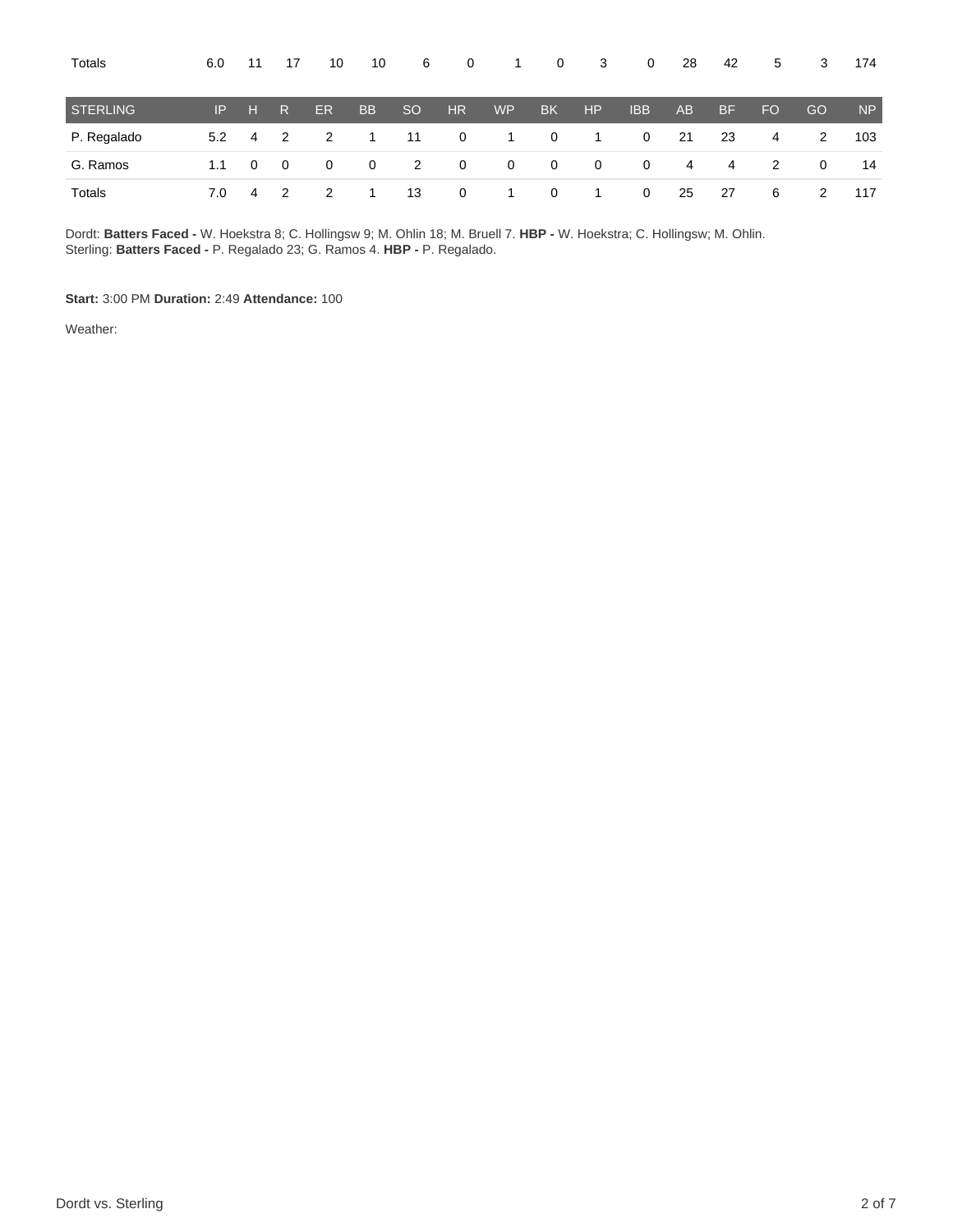| Totals          | 6.0 | 11           | 17                      | 10           | 10           | 6             | $\mathbf{0}$   | $\overline{1}$ | 0              | 3              | $\overline{0}$ | 28             | 42        | 5   | 3  | 174       |
|-----------------|-----|--------------|-------------------------|--------------|--------------|---------------|----------------|----------------|----------------|----------------|----------------|----------------|-----------|-----|----|-----------|
| <b>STERLING</b> | IP. | - H I        | R                       | <b>ER</b>    | <b>BB</b>    | <sub>SO</sub> | HR.            | WP <sup></sup> | BK.            | HP             | <b>IBB</b>     | A <sub>B</sub> | <b>BF</b> | FO. | GO | <b>NP</b> |
| P. Regalado     | 5.2 | 4            | $\overline{2}$          | 2            | 1.           | 11            | $\overline{0}$ | $\overline{1}$ | $\overline{0}$ | $\overline{1}$ | $\mathbf 0$    | 21             | 23        | 4   | 2  | 103       |
| G. Ramos        | 1.1 | $\mathbf{0}$ | $\overline{\mathbf{0}}$ | $\mathbf{0}$ | $\mathbf{0}$ | 2             | $\overline{0}$ | $\overline{0}$ | $\overline{0}$ | $\overline{0}$ | $\mathbf 0$    | 4              | 4         | 2   | 0  | 14        |
| Totals          | 7.0 | 4            | $\overline{2}$          | 2            |              | 13            | $\overline{0}$ | $\overline{1}$ | $\overline{0}$ | $\overline{1}$ | $\mathbf 0$    | 25             | 27        | 6   | 2  | 117       |

Dordt: **Batters Faced -** W. Hoekstra 8; C. Hollingsw 9; M. Ohlin 18; M. Bruell 7. **HBP -** W. Hoekstra; C. Hollingsw; M. Ohlin. Sterling: **Batters Faced -** P. Regalado 23; G. Ramos 4. **HBP -** P. Regalado.

**Start:** 3:00 PM **Duration:** 2:49 **Attendance:** 100

Weather: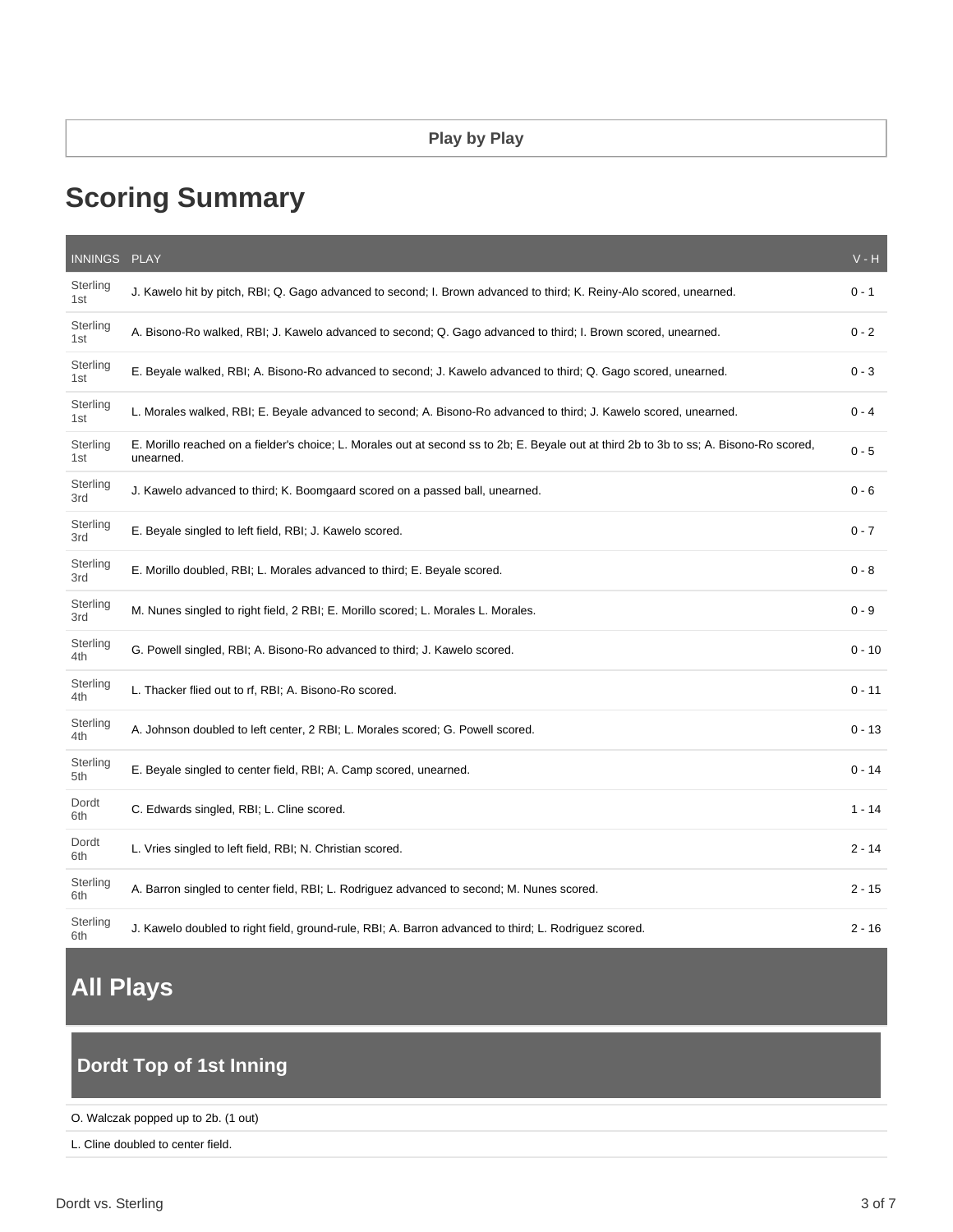### **Play by Play**

# **Scoring Summary**

| INNINGS PLAY    |                                                                                                                                                       | $V - H$  |
|-----------------|-------------------------------------------------------------------------------------------------------------------------------------------------------|----------|
| Sterling<br>1st | J. Kawelo hit by pitch, RBI; Q. Gago advanced to second; I. Brown advanced to third; K. Reiny-Alo scored, unearned.                                   | $0 - 1$  |
| Sterling<br>1st | A. Bisono-Ro walked, RBI; J. Kawelo advanced to second; Q. Gago advanced to third; I. Brown scored, unearned.                                         | $0 - 2$  |
| Sterling<br>1st | E. Beyale walked, RBI; A. Bisono-Ro advanced to second; J. Kawelo advanced to third; Q. Gago scored, unearned.                                        | $0 - 3$  |
| Sterling<br>1st | L. Morales walked, RBI; E. Beyale advanced to second; A. Bisono-Ro advanced to third; J. Kawelo scored, unearned.                                     | $0 - 4$  |
| Sterling<br>1st | E. Morillo reached on a fielder's choice; L. Morales out at second ss to 2b; E. Beyale out at third 2b to 3b to ss; A. Bisono-Ro scored,<br>unearned. | $0 - 5$  |
| Sterling<br>3rd | J. Kawelo advanced to third; K. Boomgaard scored on a passed ball, unearned.                                                                          | $0 - 6$  |
| Sterling<br>3rd | E. Beyale singled to left field, RBI; J. Kawelo scored.                                                                                               | $0 - 7$  |
| Sterling<br>3rd | E. Morillo doubled, RBI; L. Morales advanced to third; E. Beyale scored.                                                                              | $0 - 8$  |
| Sterling<br>3rd | M. Nunes singled to right field, 2 RBI; E. Morillo scored; L. Morales L. Morales.                                                                     | $0 - 9$  |
| Sterling<br>4th | G. Powell singled, RBI; A. Bisono-Ro advanced to third; J. Kawelo scored.                                                                             | $0 - 10$ |
| Sterling<br>4th | L. Thacker flied out to rf, RBI; A. Bisono-Ro scored.                                                                                                 | $0 - 11$ |
| Sterling<br>4th | A. Johnson doubled to left center, 2 RBI; L. Morales scored; G. Powell scored.                                                                        | $0 - 13$ |
| Sterling<br>5th | E. Beyale singled to center field, RBI; A. Camp scored, unearned.                                                                                     | $0 - 14$ |
| Dordt<br>6th    | C. Edwards singled, RBI; L. Cline scored.                                                                                                             | $1 - 14$ |
| Dordt<br>6th    | L. Vries singled to left field, RBI; N. Christian scored.                                                                                             | $2 - 14$ |
| Sterling<br>6th | A. Barron singled to center field, RBI; L. Rodriguez advanced to second; M. Nunes scored.                                                             | $2 - 15$ |
| Sterling<br>6th | J. Kawelo doubled to right field, ground-rule, RBI; A. Barron advanced to third; L. Rodriguez scored.                                                 | $2 - 16$ |

# **All Plays**

# **Dordt Top of 1st Inning**

#### O. Walczak popped up to 2b. (1 out)

L. Cline doubled to center field.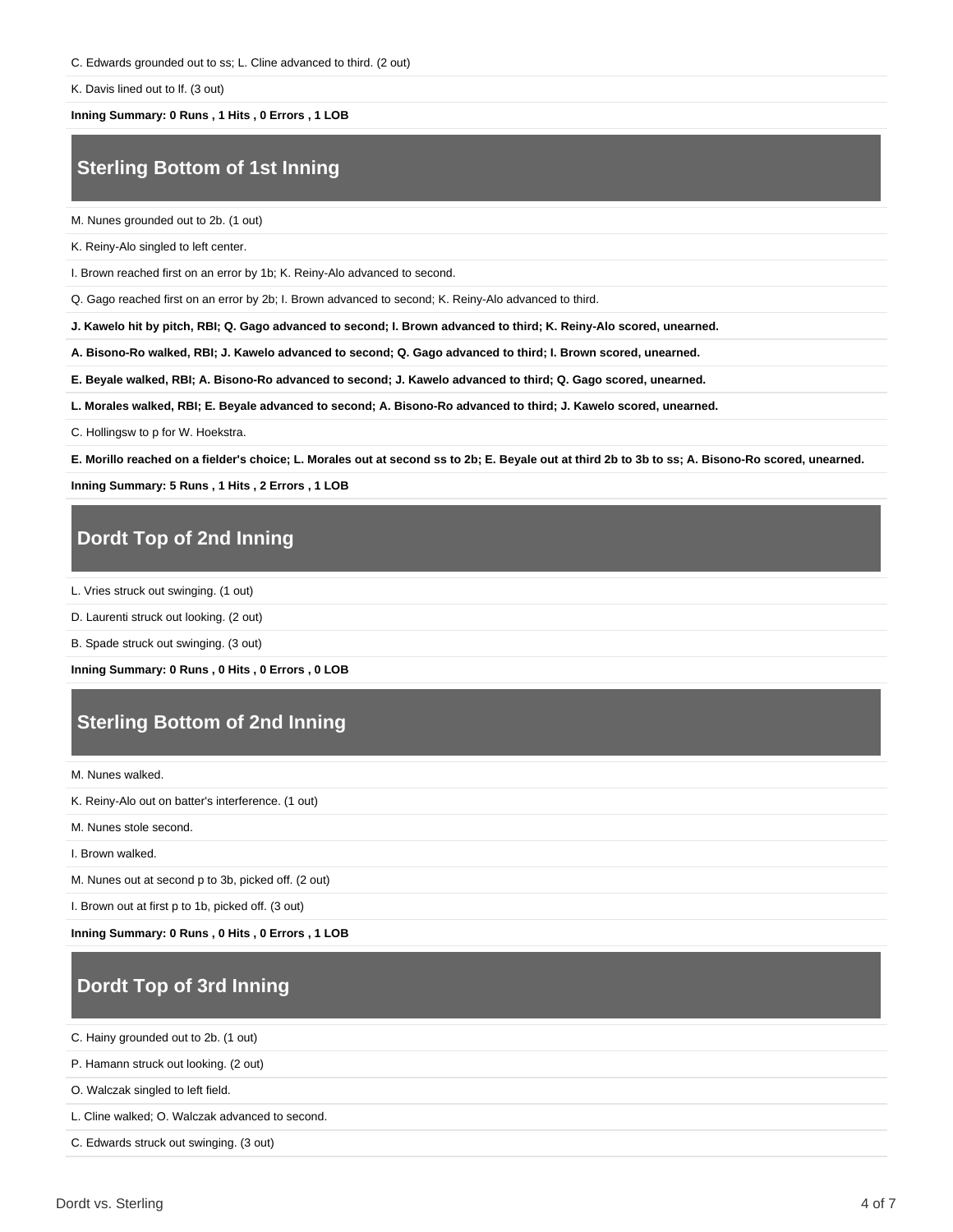C. Edwards grounded out to ss; L. Cline advanced to third. (2 out)

K. Davis lined out to lf. (3 out)

**Inning Summary: 0 Runs , 1 Hits , 0 Errors , 1 LOB**

## **Sterling Bottom of 1st Inning**

M. Nunes grounded out to 2b. (1 out)

K. Reiny-Alo singled to left center.

I. Brown reached first on an error by 1b; K. Reiny-Alo advanced to second.

Q. Gago reached first on an error by 2b; I. Brown advanced to second; K. Reiny-Alo advanced to third.

**J. Kawelo hit by pitch, RBI; Q. Gago advanced to second; I. Brown advanced to third; K. Reiny-Alo scored, unearned.**

**A. Bisono-Ro walked, RBI; J. Kawelo advanced to second; Q. Gago advanced to third; I. Brown scored, unearned.**

**E. Beyale walked, RBI; A. Bisono-Ro advanced to second; J. Kawelo advanced to third; Q. Gago scored, unearned.**

**L. Morales walked, RBI; E. Beyale advanced to second; A. Bisono-Ro advanced to third; J. Kawelo scored, unearned.**

C. Hollingsw to p for W. Hoekstra.

**E. Morillo reached on a fielder's choice; L. Morales out at second ss to 2b; E. Beyale out at third 2b to 3b to ss; A. Bisono-Ro scored, unearned.**

**Inning Summary: 5 Runs , 1 Hits , 2 Errors , 1 LOB**

### **Dordt Top of 2nd Inning**

L. Vries struck out swinging. (1 out)

D. Laurenti struck out looking. (2 out)

B. Spade struck out swinging. (3 out)

**Inning Summary: 0 Runs , 0 Hits , 0 Errors , 0 LOB**

### **Sterling Bottom of 2nd Inning**

M. Nunes walked.

K. Reiny-Alo out on batter's interference. (1 out)

M. Nunes stole second.

I. Brown walked.

M. Nunes out at second p to 3b, picked off. (2 out)

I. Brown out at first p to 1b, picked off. (3 out)

**Inning Summary: 0 Runs , 0 Hits , 0 Errors , 1 LOB**

### **Dordt Top of 3rd Inning**

C. Hainy grounded out to 2b. (1 out)

P. Hamann struck out looking. (2 out)

O. Walczak singled to left field.

L. Cline walked; O. Walczak advanced to second.

C. Edwards struck out swinging. (3 out)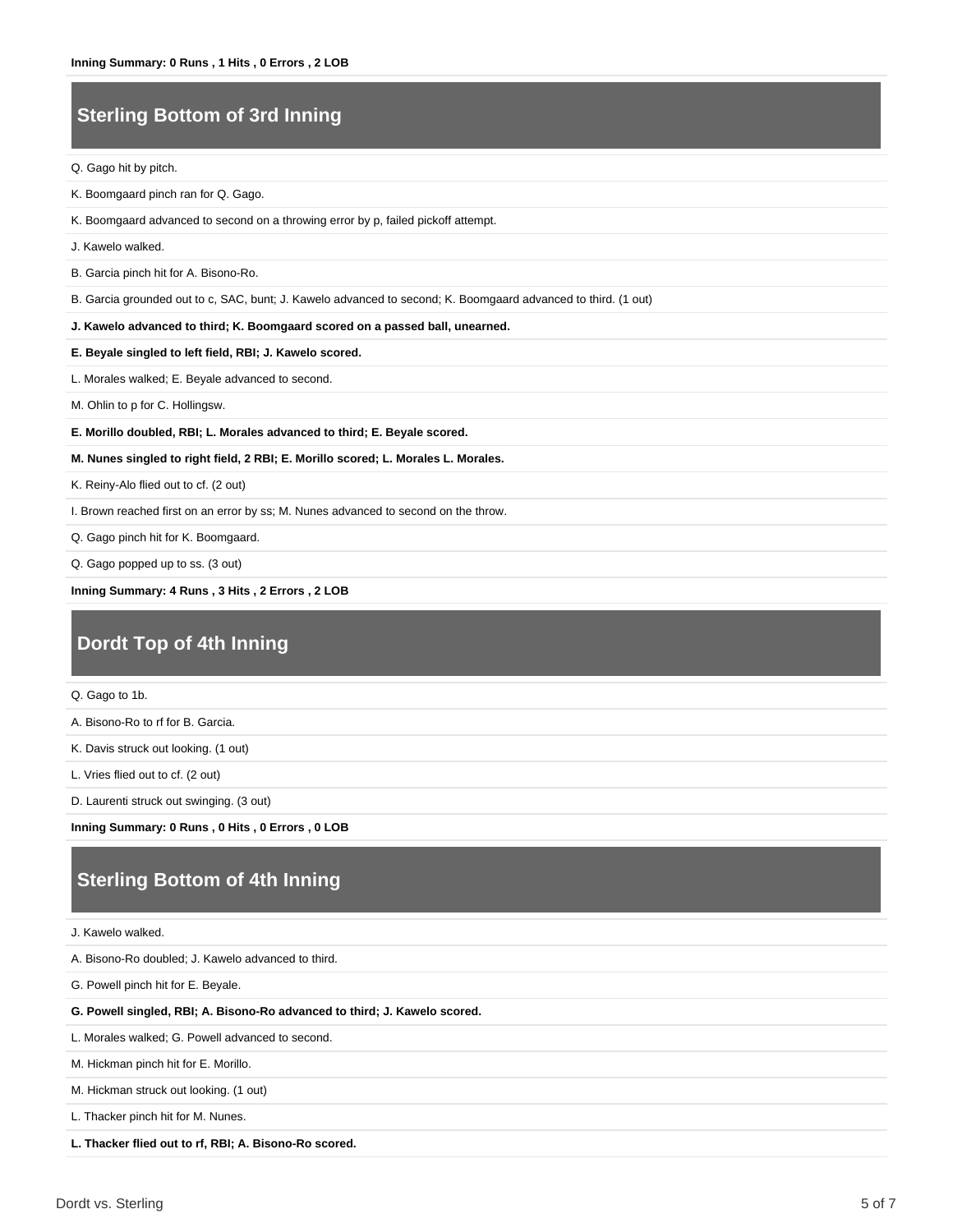## **Sterling Bottom of 3rd Inning**

Q. Gago hit by pitch.

K. Boomgaard pinch ran for Q. Gago.

K. Boomgaard advanced to second on a throwing error by p, failed pickoff attempt.

J. Kawelo walked.

B. Garcia pinch hit for A. Bisono-Ro.

B. Garcia grounded out to c, SAC, bunt; J. Kawelo advanced to second; K. Boomgaard advanced to third. (1 out)

**J. Kawelo advanced to third; K. Boomgaard scored on a passed ball, unearned.**

**E. Beyale singled to left field, RBI; J. Kawelo scored.**

L. Morales walked; E. Beyale advanced to second.

M. Ohlin to p for C. Hollingsw.

**E. Morillo doubled, RBI; L. Morales advanced to third; E. Beyale scored.**

#### **M. Nunes singled to right field, 2 RBI; E. Morillo scored; L. Morales L. Morales.**

K. Reiny-Alo flied out to cf. (2 out)

I. Brown reached first on an error by ss; M. Nunes advanced to second on the throw.

Q. Gago pinch hit for K. Boomgaard.

Q. Gago popped up to ss. (3 out)

**Inning Summary: 4 Runs , 3 Hits , 2 Errors , 2 LOB**

### **Dordt Top of 4th Inning**

Q. Gago to 1b.

A. Bisono-Ro to rf for B. Garcia.

K. Davis struck out looking. (1 out)

L. Vries flied out to cf. (2 out)

D. Laurenti struck out swinging. (3 out)

**Inning Summary: 0 Runs , 0 Hits , 0 Errors , 0 LOB**

### **Sterling Bottom of 4th Inning**

J. Kawelo walked.

A. Bisono-Ro doubled; J. Kawelo advanced to third.

G. Powell pinch hit for E. Beyale.

#### **G. Powell singled, RBI; A. Bisono-Ro advanced to third; J. Kawelo scored.**

L. Morales walked; G. Powell advanced to second.

M. Hickman pinch hit for E. Morillo.

M. Hickman struck out looking. (1 out)

L. Thacker pinch hit for M. Nunes.

**L. Thacker flied out to rf, RBI; A. Bisono-Ro scored.**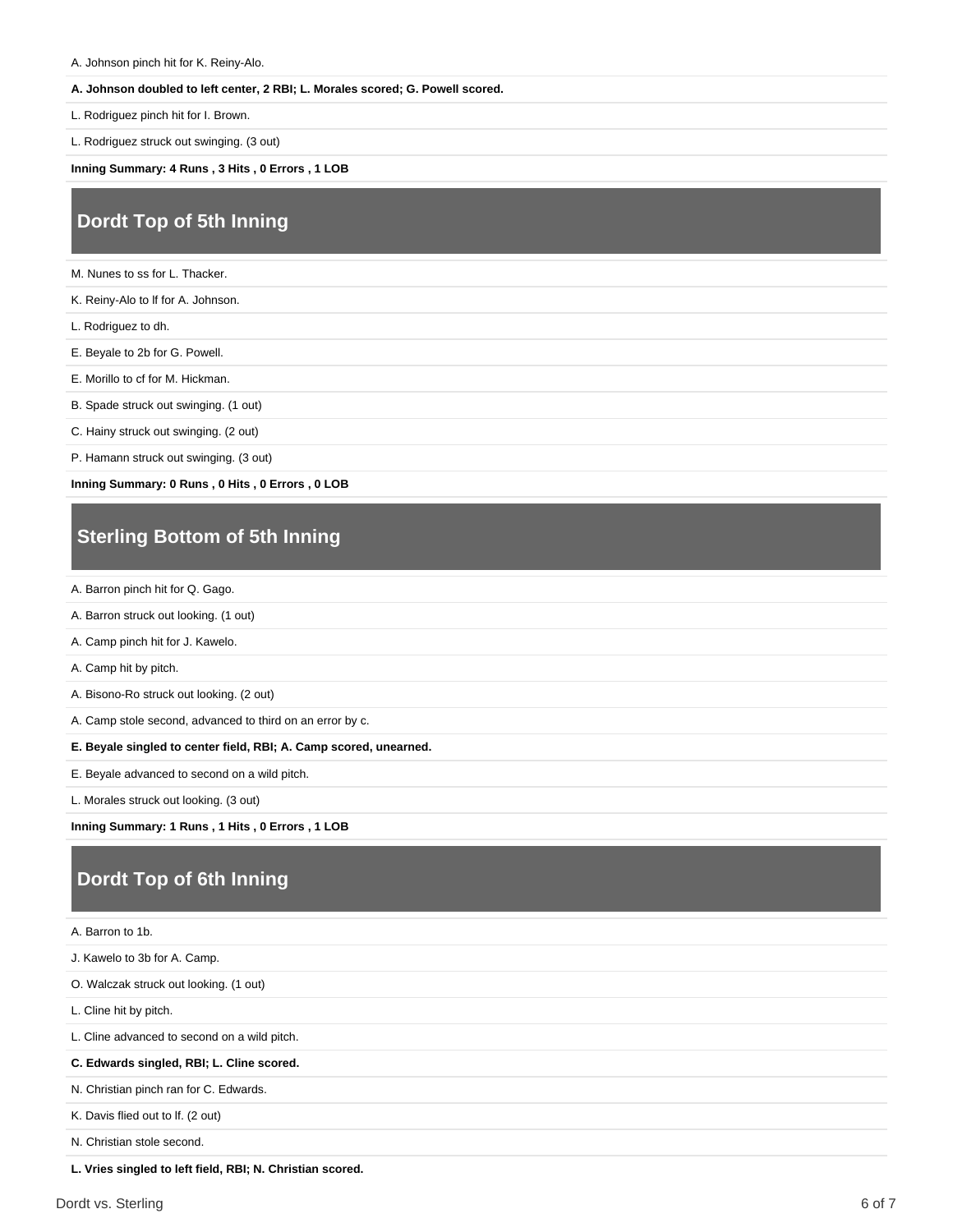A. Johnson pinch hit for K. Reiny-Alo.

#### **A. Johnson doubled to left center, 2 RBI; L. Morales scored; G. Powell scored.**

L. Rodriguez pinch hit for I. Brown.

L. Rodriguez struck out swinging. (3 out)

**Inning Summary: 4 Runs , 3 Hits , 0 Errors , 1 LOB**

### **Dordt Top of 5th Inning**

M. Nunes to ss for L. Thacker.

K. Reiny-Alo to lf for A. Johnson.

L. Rodriguez to dh.

E. Beyale to 2b for G. Powell.

E. Morillo to cf for M. Hickman.

B. Spade struck out swinging. (1 out)

C. Hainy struck out swinging. (2 out)

P. Hamann struck out swinging. (3 out)

**Inning Summary: 0 Runs , 0 Hits , 0 Errors , 0 LOB**

### **Sterling Bottom of 5th Inning**

A. Barron pinch hit for Q. Gago.

A. Barron struck out looking. (1 out)

A. Camp pinch hit for J. Kawelo.

A. Camp hit by pitch.

A. Bisono-Ro struck out looking. (2 out)

A. Camp stole second, advanced to third on an error by c.

**E. Beyale singled to center field, RBI; A. Camp scored, unearned.**

E. Beyale advanced to second on a wild pitch.

L. Morales struck out looking. (3 out)

**Inning Summary: 1 Runs , 1 Hits , 0 Errors , 1 LOB**

# **Dordt Top of 6th Inning**

| A. Barron to 1b.                                          |
|-----------------------------------------------------------|
| J. Kawelo to 3b for A. Camp.                              |
| O. Walczak struck out looking. (1 out)                    |
| L. Cline hit by pitch.                                    |
| L. Cline advanced to second on a wild pitch.              |
| C. Edwards singled, RBI; L. Cline scored.                 |
| N. Christian pinch ran for C. Edwards.                    |
| K. Davis flied out to If. (2 out)                         |
| N. Christian stole second.                                |
| L. Vries singled to left field, RBI; N. Christian scored. |